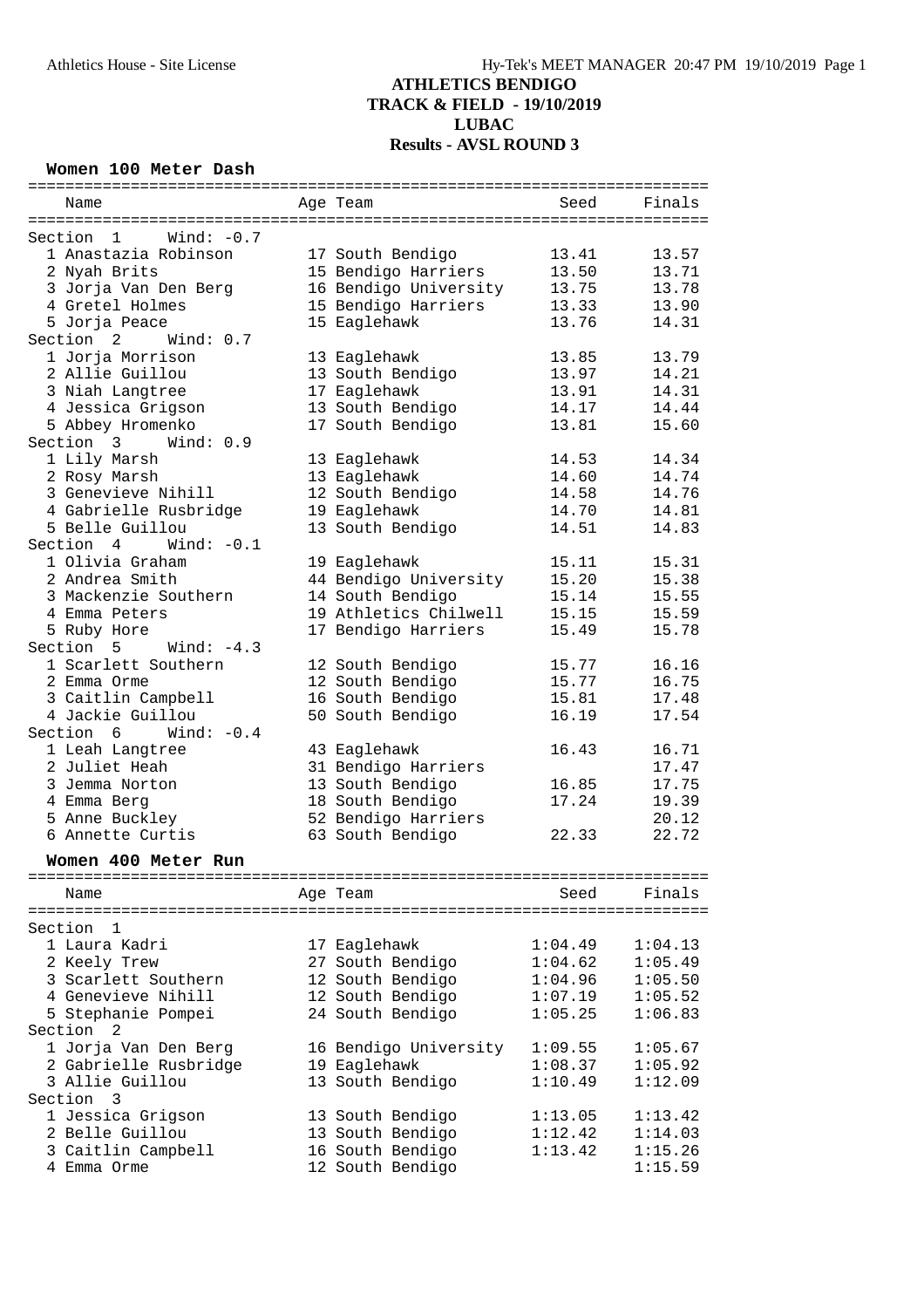#### **Women 100 Meter Dash**

| Name                               |              | Age Team              | Seed    | Finals  |
|------------------------------------|--------------|-----------------------|---------|---------|
|                                    |              |                       |         |         |
| Section 1                          | Wind: $-0.7$ |                       |         |         |
| 1 Anastazia Robinson               |              | 17 South Bendigo      | 13.41   | 13.57   |
| 2 Nyah Brits                       |              | 15 Bendigo Harriers   | 13.50   | 13.71   |
| 3 Jorja Van Den Berg               |              | 16 Bendigo University | 13.75   | 13.78   |
| 4 Gretel Holmes                    |              | 15 Bendigo Harriers   | 13.33   | 13.90   |
| 5 Jorja Peace                      |              | 15 Eaglehawk          | 13.76   | 14.31   |
| Section 2<br>Wind: 0.7             |              |                       |         |         |
| 1 Jorja Morrison                   |              | 13 Eaglehawk          | 13.85   | 13.79   |
| 2 Allie Guillou                    |              | 13 South Bendigo      | 13.97   | 14.21   |
| 3 Niah Langtree                    |              | 17 Eaglehawk          | 13.91   | 14.31   |
| 4 Jessica Grigson                  |              | 13 South Bendigo      | 14.17   | 14.44   |
| 5 Abbey Hromenko                   |              | 17 South Bendigo      | 13.81   | 15.60   |
| Section 3                          | Wind: 0.9    |                       |         |         |
| 1 Lily Marsh                       |              | 13 Eaglehawk          | 14.53   | 14.34   |
| 2 Rosy Marsh                       |              | 13 Eaglehawk          | 14.60   | 14.74   |
| 3 Genevieve Nihill                 |              | 12 South Bendigo      | 14.58   | 14.76   |
| 4 Gabrielle Rusbridge              |              | 19 Eaglehawk          | 14.70   | 14.81   |
| 5 Belle Guillou                    |              | 13 South Bendigo      | 14.51   | 14.83   |
| Section 4                          | Wind: $-0.1$ |                       |         |         |
| 1 Olivia Graham                    |              | 19 Eaglehawk          | 15.11   | 15.31   |
| 2 Andrea Smith                     |              | 44 Bendigo University | 15.20   | 15.38   |
| 3 Mackenzie Southern               |              | 14 South Bendigo      | 15.14   | 15.55   |
| 4 Emma Peters                      |              | 19 Athletics Chilwell | 15.15   | 15.59   |
| 5 Ruby Hore                        |              | 17 Bendigo Harriers   | 15.49   | 15.78   |
| Section 5                          | Wind: $-4.3$ |                       |         |         |
| 1 Scarlett Southern                |              | 12 South Bendigo      | 15.77   | 16.16   |
| 2 Emma Orme                        |              | 12 South Bendigo      | 15.77   | 16.75   |
| 3 Caitlin Campbell                 |              | 16 South Bendigo      | 15.81   | 17.48   |
| 4 Jackie Guillou                   |              | 50 South Bendigo      | 16.19   | 17.54   |
| Section 6                          | Wind: $-0.4$ |                       |         |         |
| 1 Leah Langtree                    |              | 43 Eaglehawk          | 16.43   | 16.71   |
| 2 Juliet Heah                      |              | 31 Bendigo Harriers   |         | 17.47   |
| 3 Jemma Norton                     |              | 13 South Bendigo      | 16.85   | 17.75   |
|                                    |              |                       | 17.24   |         |
| 4 Emma Berg<br>5 Anne Buckley      |              | 18 South Bendigo      |         | 19.39   |
|                                    |              | 52 Bendigo Harriers   |         | 20.12   |
| 6 Annette Curtis                   |              | 63 South Bendigo      | 22.33   | 22.72   |
| Women 400 Meter Run                |              |                       |         |         |
|                                    |              |                       |         |         |
| Name                               |              | Age Team              | Seed    | Finals  |
|                                    |              |                       |         |         |
| Section<br>1                       |              |                       |         |         |
| 1 Laura Kadri                      |              | 17 Eaglehawk          | 1:04.49 | 1:04.13 |
| 2 Keely Trew                       |              | 27 South Bendigo      | 1:04.62 | 1:05.49 |
| 3 Scarlett Southern                |              | 12 South Bendigo      | 1:04.96 | 1:05.50 |
| 4 Genevieve Nihill                 |              | 12 South Bendigo      | 1:07.19 | 1:05.52 |
| 5 Stephanie Pompei                 |              | 24 South Bendigo      | 1:05.25 | 1:06.83 |
| Section<br>2                       |              |                       |         |         |
| 1 Jorja Van Den Berg               |              | 16 Bendigo University | 1:09.55 | 1:05.67 |
| 2 Gabrielle Rusbridge              |              | 19 Eaglehawk          | 1:08.37 | 1:05.92 |
| 3 Allie Guillou                    |              | 13 South Bendigo      | 1:10.49 | 1:12.09 |
| $\overline{\mathbf{3}}$<br>Section |              |                       |         |         |
| 1 Jessica Grigson                  |              | 13 South Bendigo      | 1:13.05 | 1:13.42 |
| 2 Belle Guillou                    |              | 13 South Bendigo      | 1:12.42 | 1:14.03 |
| 3 Caitlin Campbell                 |              | 16 South Bendigo      | 1:13.42 | 1:15.26 |
| 4 Emma Orme                        |              | 12 South Bendigo      |         | 1:15.59 |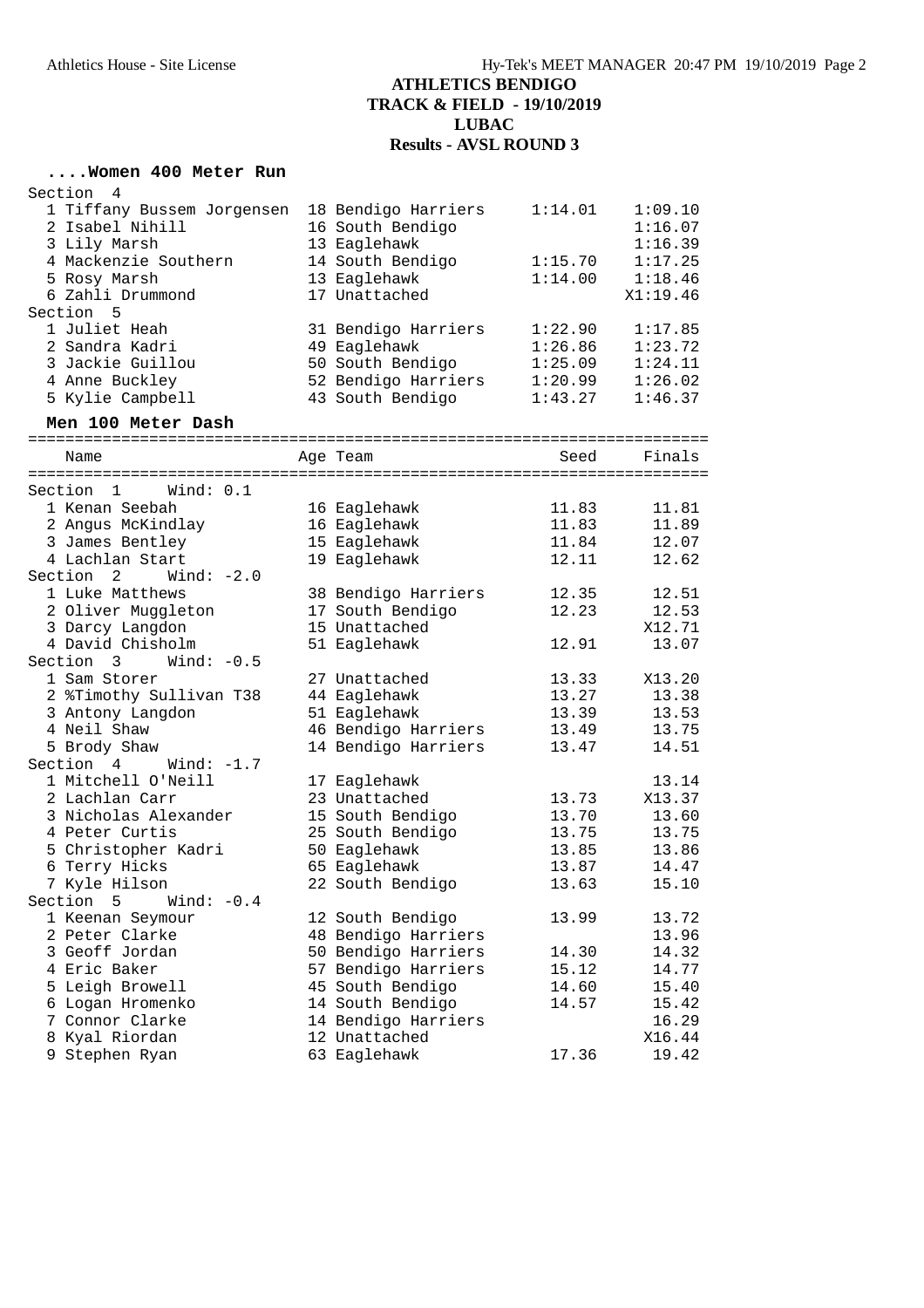# **....Women 400 Meter Run**

| Section<br>4               |                     |         |          |
|----------------------------|---------------------|---------|----------|
| 1 Tiffany Bussem Jorgensen | 18 Bendigo Harriers | 1:14.01 | 1:09.10  |
| 2 Isabel Nihill            | 16 South Bendigo    |         | 1:16.07  |
| 3 Lily Marsh               | 13 Eaglehawk        |         | 1:16.39  |
| 4 Mackenzie Southern       | 14 South Bendigo    | 1:15.70 | 1:17.25  |
| 5 Rosy Marsh               | 13 Eaglehawk        | 1:14.00 | 1:18.46  |
| 6 Zahli Drummond           | 17 Unattached       |         | X1:19.46 |
| Section 5                  |                     |         |          |
| 1 Juliet Heah              | 31 Bendigo Harriers | 1:22.90 | 1:17.85  |
| 2 Sandra Kadri             | 49 Eaglehawk        | 1:26.86 | 1:23.72  |
| 3 Jackie Guillou           | 50 South Bendigo    | 1:25.09 | 1:24.11  |
| 4 Anne Buckley             | 52 Bendigo Harriers | 1:20.99 | 1:26.02  |
| 5 Kylie Campbell           | 43 South Bendigo    | 1:43.27 | 1:46.37  |
| Men 100 Meter Dash         |                     |         |          |
| Name                       | Age Team            | Seed    | Finals   |
|                            |                     |         |          |
| Section 1<br>Wind: 0.1     |                     |         |          |
| 1 Kenan Seebah             | 16 Eaglehawk        | 11.83   | 11.81    |
| 2 Angus McKindlay          | 16 Eaglehawk        | 11.83   | 11.89    |
| 3 James Bentley            | 15 Eaglehawk        | 11.84   | 12.07    |
| 4 Lachlan Start            | 19 Eaglehawk        | 12.11   | 12.62    |
| Section 2<br>Wind: $-2.0$  |                     |         |          |
| 1 Luke Matthews            | 38 Bendigo Harriers | 12.35   | 12.51    |
| 2 Oliver Muggleton         | 17 South Bendigo    | 12.23   | 12.53    |
| 3 Darcy Langdon            | 15 Unattached       |         | X12.71   |
| 4 David Chisholm           | 51 Eaglehawk        | 12.91   | 13.07    |
| Section 3<br>Wind: $-0.5$  |                     |         |          |
| 1 Sam Storer               | 27 Unattached       | 13.33   | X13.20   |
| 2 %Timothy Sullivan T38    | 44 Eaglehawk        | 13.27   | 13.38    |
| 3 Antony Langdon           | 51 Eaglehawk        | 13.39   | 13.53    |
| 4 Neil Shaw                | 46 Bendigo Harriers | 13.49   | 13.75    |
| 5 Brody Shaw               | 14 Bendigo Harriers | 13.47   | 14.51    |
| Section 4<br>Wind: $-1.7$  |                     |         |          |
| 1 Mitchell O'Neill         | 17 Eaglehawk        |         | 13.14    |
| 2 Lachlan Carr             | 23 Unattached       | 13.73   | X13.37   |
| 3 Nicholas Alexander       | 15 South Bendigo    | 13.70   | 13.60    |
| 4 Peter Curtis             | 25 South Bendigo    | 13.75   | 13.75    |
| 5 Christopher Kadri        | 50 Eaglehawk        | 13.85   | 13.86    |
| 6 Terry Hicks              | 65 Eaglehawk        | 13.87   | 14.47    |
| 7 Kyle Hilson<br>Section   | 22 South Bendigo    | 13.63   | 15.10    |
| 5<br>Wind: $-0.4$          |                     |         |          |
| 1 Keenan Seymour           | 12 South Bendigo    | 13.99   | 13.72    |
| 2 Peter Clarke             | 48 Bendigo Harriers |         | 13.96    |
| 3 Geoff Jordan             | 50 Bendigo Harriers | 14.30   | 14.32    |
| 4 Eric Baker               | 57 Bendigo Harriers | 15.12   | 14.77    |
| 5 Leigh Browell            | 45 South Bendigo    | 14.60   | 15.40    |
| 6 Logan Hromenko           | 14 South Bendigo    | 14.57   | 15.42    |
| 7 Connor Clarke            | 14 Bendigo Harriers |         | 16.29    |
| 8 Kyal Riordan             | 12 Unattached       |         | X16.44   |
| 9 Stephen Ryan             | 63 Eaglehawk        | 17.36   | 19.42    |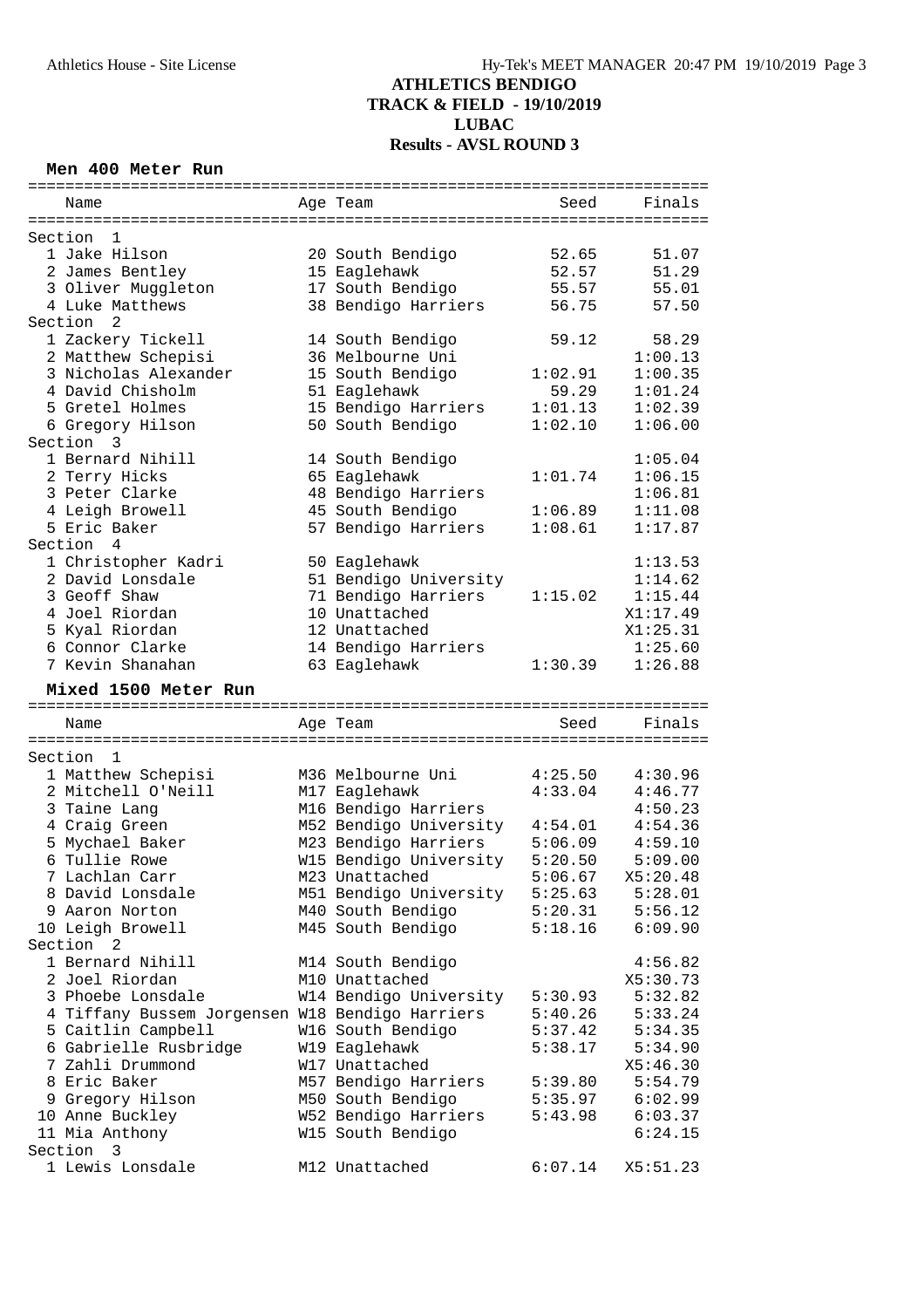#### **Men 400 Meter Run**

|                      | Name                                            |  | Age Team               | Seed    | Finals   |  |  |
|----------------------|-------------------------------------------------|--|------------------------|---------|----------|--|--|
|                      |                                                 |  |                        |         |          |  |  |
|                      | Section<br>1                                    |  |                        |         |          |  |  |
|                      | 1 Jake Hilson                                   |  | 20 South Bendigo       | 52.65   | 51.07    |  |  |
|                      | 2 James Bentley                                 |  | 15 Eaglehawk           | 52.57   | 51.29    |  |  |
|                      | 3 Oliver Muggleton                              |  | 17 South Bendigo       | 55.57   | 55.01    |  |  |
|                      | 4 Luke Matthews                                 |  | 38 Bendigo Harriers    | 56.75   | 57.50    |  |  |
|                      | 2<br>Section                                    |  |                        |         |          |  |  |
|                      | 1 Zackery Tickell                               |  | 14 South Bendigo       | 59.12   | 58.29    |  |  |
|                      | 2 Matthew Schepisi                              |  | 36 Melbourne Uni       |         | 1:00.13  |  |  |
|                      | 3 Nicholas Alexander                            |  | 15 South Bendigo       | 1:02.91 | 1:00.35  |  |  |
|                      | 4 David Chisholm                                |  | 51 Eaglehawk           | 59.29   | 1:01.24  |  |  |
|                      | 5 Gretel Holmes                                 |  | 15 Bendigo Harriers    | 1:01.13 | 1:02.39  |  |  |
|                      | 6 Gregory Hilson                                |  | 50 South Bendigo       | 1:02.10 | 1:06.00  |  |  |
|                      | Section<br>3                                    |  |                        |         |          |  |  |
|                      | 1 Bernard Nihill                                |  | 14 South Bendigo       |         | 1:05.04  |  |  |
|                      | 2 Terry Hicks                                   |  | 65 Eaglehawk           | 1:01.74 | 1:06.15  |  |  |
|                      | 3 Peter Clarke                                  |  | 48 Bendigo Harriers    |         | 1:06.81  |  |  |
|                      | 4 Leigh Browell                                 |  | 45 South Bendigo       | 1:06.89 | 1:11.08  |  |  |
|                      | 5 Eric Baker                                    |  | 57 Bendigo Harriers    | 1:08.61 | 1:17.87  |  |  |
|                      | Section 4                                       |  |                        |         |          |  |  |
|                      | 1 Christopher Kadri                             |  | 50 Eaglehawk           |         | 1:13.53  |  |  |
|                      | 2 David Lonsdale                                |  | 51 Bendigo University  |         | 1:14.62  |  |  |
|                      | 3 Geoff Shaw                                    |  | 71 Bendigo Harriers    | 1:15.02 | 1:15.44  |  |  |
|                      | 4 Joel Riordan                                  |  | 10 Unattached          |         | X1:17.49 |  |  |
|                      | 5 Kyal Riordan                                  |  | 12 Unattached          |         | X1:25.31 |  |  |
|                      | 6 Connor Clarke                                 |  | 14 Bendigo Harriers    |         | 1:25.60  |  |  |
|                      | 7 Kevin Shanahan                                |  |                        | 1:30.39 |          |  |  |
|                      |                                                 |  | 63 Eaglehawk           |         | 1:26.88  |  |  |
| Mixed 1500 Meter Run |                                                 |  |                        |         |          |  |  |
|                      |                                                 |  |                        |         |          |  |  |
|                      |                                                 |  |                        |         |          |  |  |
|                      | Name                                            |  | Age Team               | Seed    | Finals   |  |  |
|                      |                                                 |  |                        |         |          |  |  |
|                      | Section<br>1                                    |  |                        |         |          |  |  |
|                      | 1 Matthew Schepisi                              |  | M36 Melbourne Uni      | 4:25.50 | 4:30.96  |  |  |
|                      | 2 Mitchell O'Neill                              |  | M17 Eaglehawk          | 4:33.04 | 4:46.77  |  |  |
|                      | 3 Taine Lang                                    |  | M16 Bendigo Harriers   |         | 4:50.23  |  |  |
|                      | 4 Craig Green                                   |  | M52 Bendigo University | 4:54.01 | 4:54.36  |  |  |
|                      | 5 Mychael Baker                                 |  | M23 Bendigo Harriers   | 5:06.09 | 4:59.10  |  |  |
|                      | 6 Tullie Rowe                                   |  | W15 Bendigo University | 5:20.50 | 5:09.00  |  |  |
|                      | 7 Lachlan Carr                                  |  | M23 Unattached         | 5:06.67 | X5:20.48 |  |  |
|                      | 8 David Lonsdale                                |  | M51 Bendigo University | 5:25.63 | 5:28.01  |  |  |
|                      | 9 Aaron Norton                                  |  | M40 South Bendigo      | 5:20.31 | 5:56.12  |  |  |
|                      | 10 Leigh Browell                                |  |                        | 5:18.16 |          |  |  |
|                      | Section <sub>2</sub>                            |  | M45 South Bendigo      |         | 6:09.90  |  |  |
|                      | 1 Bernard Nihill                                |  |                        |         |          |  |  |
|                      |                                                 |  | M14 South Bendigo      |         | 4:56.82  |  |  |
|                      | 2 Joel Riordan                                  |  | M10 Unattached         |         | X5:30.73 |  |  |
|                      | 3 Phoebe Lonsdale                               |  | W14 Bendigo University | 5:30.93 | 5:32.82  |  |  |
|                      | 4 Tiffany Bussem Jorgensen W18 Bendigo Harriers |  |                        | 5:40.26 | 5:33.24  |  |  |
|                      | 5 Caitlin Campbell                              |  | W16 South Bendigo      | 5:37.42 | 5:34.35  |  |  |
|                      | 6 Gabrielle Rusbridge                           |  | W19 Eaglehawk          | 5:38.17 | 5:34.90  |  |  |
|                      | 7 Zahli Drummond                                |  | W17 Unattached         |         | X5:46.30 |  |  |
|                      | 8 Eric Baker                                    |  | M57 Bendigo Harriers   | 5:39.80 | 5:54.79  |  |  |
|                      | 9 Gregory Hilson                                |  | M50 South Bendigo      | 5:35.97 | 6:02.99  |  |  |
|                      | 10 Anne Buckley                                 |  | W52 Bendigo Harriers   | 5:43.98 | 6:03.37  |  |  |
|                      | 11 Mia Anthony                                  |  | W15 South Bendigo      |         | 6:24.15  |  |  |
|                      | Section<br>3<br>1 Lewis Lonsdale                |  | M12 Unattached         | 6:07.14 | X5:51.23 |  |  |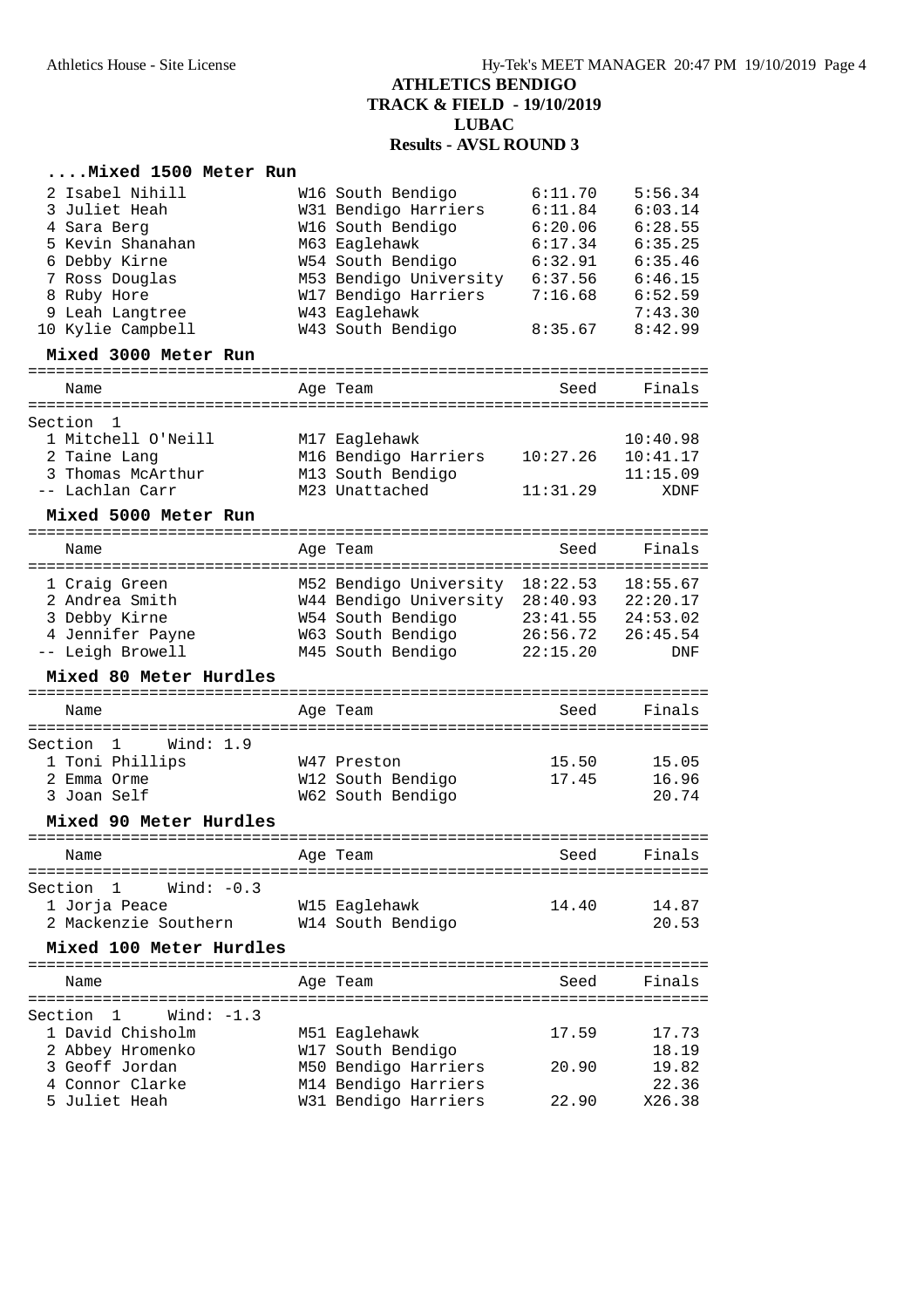### **....Mixed 1500 Meter Run**

| 2 Isabel Nihill                         | W16 South Bendigo                            | 6:11.70           | 5:56.34        |
|-----------------------------------------|----------------------------------------------|-------------------|----------------|
| 3 Juliet Heah                           | W31 Bendigo Harriers                         | 6:11.84           | 6:03.14        |
| 4 Sara Berg                             | W16 South Bendigo                            | 6:20.06           | 6:28.55        |
| 5 Kevin Shanahan                        | M63 Eaglehawk                                | 6:17.34           | 6:35.25        |
| 6 Debby Kirne                           | W54 South Bendigo                            | 6:32.91           | 6:35.46        |
| 7 Ross Douglas                          | M53 Bendigo University                       | 6:37.56           | 6:46.15        |
| 8 Ruby Hore                             | W17 Bendigo Harriers                         | 7:16.68           | 6:52.59        |
| 9 Leah Langtree                         | W43 Eaglehawk                                |                   | 7:43.30        |
| 10 Kylie Campbell                       | W43 South Bendigo                            | 8:35.67           | 8:42.99        |
| Mixed 3000 Meter Run                    |                                              |                   |                |
| Name                                    | Age Team                                     | Seed              | Finals         |
| Section<br>1                            |                                              |                   |                |
| 1 Mitchell O'Neill                      | M17 Eaglehawk                                |                   | 10:40.98       |
| 2 Taine Lang                            | M16 Bendigo Harriers                         | 10:27.26          | 10:41.17       |
| 3 Thomas McArthur                       | M13 South Bendigo                            |                   | 11:15.09       |
| -- Lachlan Carr                         | M23 Unattached                               | 11:31.29          | XDNF           |
| Mixed 5000 Meter Run                    |                                              |                   |                |
| Name                                    | Age Team                                     | Seed              | Finals         |
|                                         |                                              |                   |                |
| 1 Craig Green                           | M52 Bendigo University                       | 18:22.53          | 18:55.67       |
| 2 Andrea Smith                          | W44 Bendigo University 28:40.93              |                   | 22:20.17       |
| 3 Debby Kirne                           | W54 South Bendigo                            | 23:41.55          | 24:53.02       |
| 4 Jennifer Payne                        | W63 South Bendigo                            | 26:56.72          | 26:45.54       |
| -- Leigh Browell                        | M45 South Bendigo                            | 22:15.20          | DNF            |
| Mixed 80 Meter Hurdles                  |                                              |                   |                |
| Name                                    | Age Team                                     | Seed              | Finals         |
| ===========                             | .==================                          | ================= |                |
| Wind: $1.9$<br>Section<br>1             |                                              |                   |                |
| 1 Toni Phillips                         | W47 Preston                                  | 15.50             | 15.05          |
| 2 Emma Orme<br>3 Joan Self              | W12 South Bendigo<br>W62 South Bendigo       | 17.45             | 16.96          |
|                                         |                                              |                   | 20.74          |
| Mixed 90 Meter Hurdles                  |                                              |                   |                |
| Name                                    | Age Team                                     | Seed              | Finals         |
| Section<br>$\mathbf{1}$<br>Wind: $-0.3$ |                                              |                   |                |
| 1 Jorja Peace                           | W15 Eaglehawk                                | 14.40             | 14.87          |
| 2 Mackenzie Southern                    | W14 South Bendigo                            |                   | 20.53          |
|                                         |                                              |                   |                |
| Mixed 100 Meter Hurdles                 |                                              |                   | ----------     |
| Name                                    | Age Team                                     | Seed              | Finals         |
|                                         |                                              |                   |                |
| Wind: $-1.3$<br>Section<br>1            |                                              |                   |                |
| 1 David Chisholm                        | M51 Eaglehawk                                | 17.59             | 17.73          |
| 2 Abbey Hromenko<br>3 Geoff Jordan      | W17 South Bendigo                            |                   | 18.19          |
| 4 Connor Clarke                         | M50 Bendigo Harriers                         | 20.90             | 19.82<br>22.36 |
| 5 Juliet Heah                           | M14 Bendigo Harriers<br>W31 Bendigo Harriers | 22.90             | X26.38         |
|                                         |                                              |                   |                |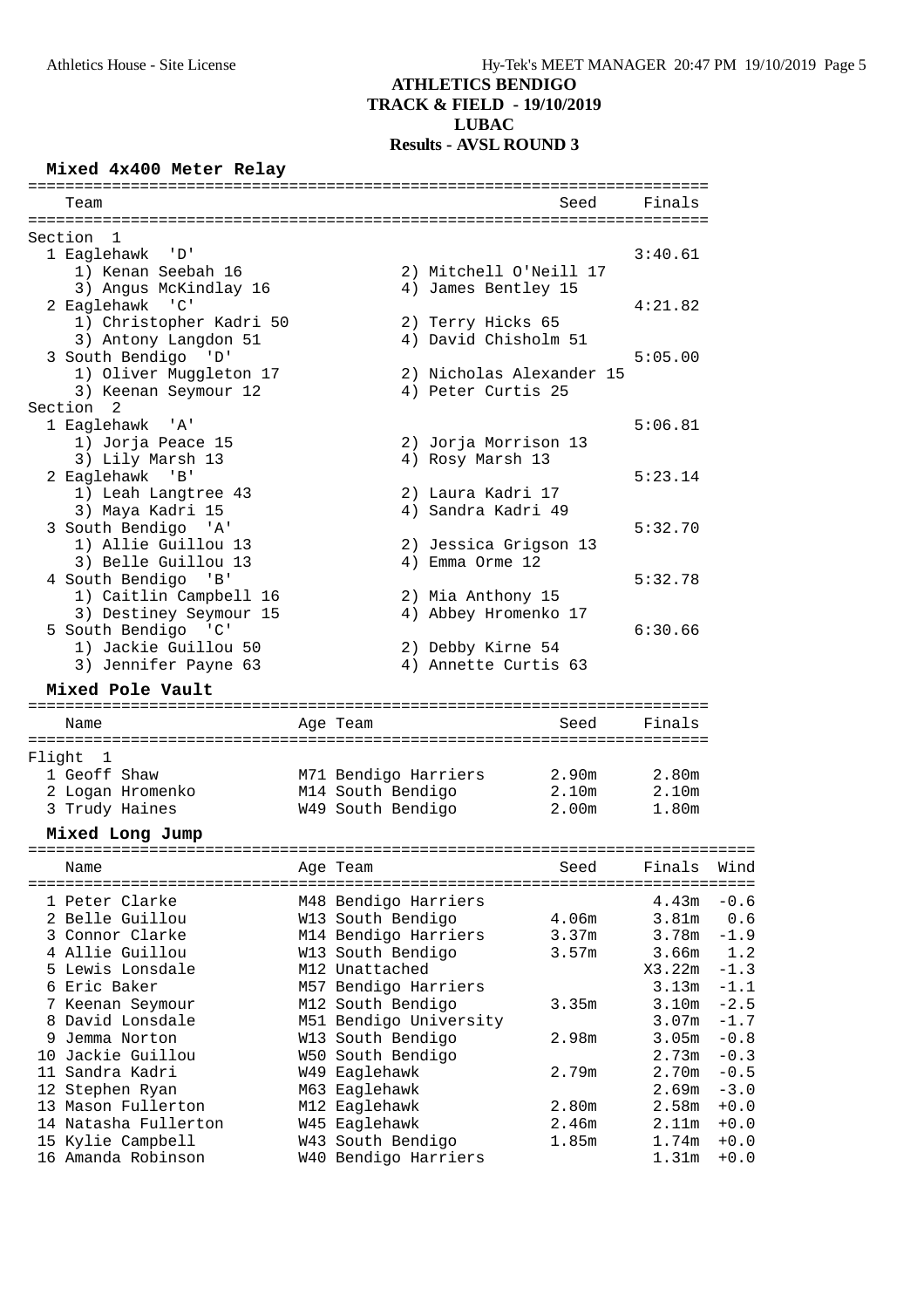#### **Mixed 4x400 Meter Relay**

|        | Team                                      |                                    | Seed              | Finals                     |                                      |
|--------|-------------------------------------------|------------------------------------|-------------------|----------------------------|--------------------------------------|
|        | Section<br>1                              |                                    |                   |                            |                                      |
|        | 1 Eaglehawk<br>י ס י                      |                                    |                   | 3:40.61                    |                                      |
|        | 1) Kenan Seebah 16                        | 2) Mitchell O'Neill 17             |                   |                            |                                      |
|        | 3) Angus McKindlay 16                     | 4) James Bentley 15                |                   |                            |                                      |
|        | 2 Eaglehawk 'C'                           |                                    |                   | 4:21.82                    |                                      |
|        | 1) Christopher Kadri 50                   | 2) Terry Hicks 65                  |                   |                            |                                      |
|        | 3) Antony Langdon 51                      | 4) David Chisholm 51               |                   |                            |                                      |
|        | 3 South Bendigo<br>י ם י                  |                                    |                   | 5:05.00                    |                                      |
|        | 1) Oliver Muggleton 17                    | 2) Nicholas Alexander 15           |                   |                            |                                      |
|        | 3) Keenan Seymour 12                      | 4) Peter Curtis 25                 |                   |                            |                                      |
|        | Section 2                                 |                                    |                   |                            |                                      |
|        | 1 Eaglehawk<br>'' A '                     |                                    |                   | 5:06.81                    |                                      |
|        | 1) Jorja Peace 15                         | 2) Jorja Morrison 13               |                   |                            |                                      |
|        | 3) Lily Marsh 13                          | 4) Rosy Marsh 13                   |                   |                            |                                      |
|        | 2 Eaglehawk 'B'                           |                                    |                   | 5:23.14                    |                                      |
|        | 1) Leah Langtree 43                       | 2) Laura Kadri 17                  |                   |                            |                                      |
|        | 3) Maya Kadri 15                          | 4) Sandra Kadri 49                 |                   |                            |                                      |
|        | 3 South Bendigo 'A'                       |                                    |                   | 5:32.70                    |                                      |
|        | 1) Allie Guillou 13                       | 2) Jessica Grigson 13              |                   |                            |                                      |
|        | 3) Belle Guillou 13                       | 4) Emma Orme 12                    |                   |                            |                                      |
|        | 4 South Bendigo 'B'                       |                                    |                   | 5:32.78                    |                                      |
|        | 1) Caitlin Campbell 16                    | 2) Mia Anthony 15                  |                   |                            |                                      |
|        | 3) Destiney Seymour 15                    | 4) Abbey Hromenko 17               |                   |                            |                                      |
|        | 5 South Bendigo 'C'                       |                                    |                   | 6:30.66                    |                                      |
|        | 1) Jackie Guillou 50                      | 2) Debby Kirne 54                  |                   |                            |                                      |
|        | 3) Jennifer Payne 63                      | 4) Annette Curtis 63               |                   |                            |                                      |
|        | Mixed Pole Vault                          |                                    |                   |                            |                                      |
|        | Name                                      | Age Team                           | Seed              | Finals                     |                                      |
|        |                                           |                                    |                   |                            |                                      |
| Flight | 1                                         |                                    |                   |                            |                                      |
|        | 1 Geoff Shaw                              | M71 Bendigo Harriers               | 2.90 <sub>m</sub> | 2.80m                      |                                      |
|        | 2 Logan Hromenko                          | M14 South Bendigo                  | 2.10m             | 2.10m                      |                                      |
|        | 3 Trudy Haines                            | W49 South Bendigo                  | 2.00 <sub>m</sub> | 1.80m                      |                                      |
|        | Mixed Long Jump                           |                                    |                   |                            |                                      |
|        | ==================                        | ==================                 |                   |                            |                                      |
|        | Name                                      | Age Team                           | Seed              | Finals                     | Wind                                 |
|        | 1 Peter Clarke                            | M48 Bendigo Harriers               |                   | 4.43m                      | $-0.6$                               |
|        | 2 Belle Guillou                           | W13 South Bendigo                  | 4.06m             | 3.81m                      | 0.6                                  |
|        | 3 Connor Clarke                           | M14 Bendigo Harriers               | 3.37 <sub>m</sub> | 3.78m                      | $-1.9$                               |
|        | 4 Allie Guillou                           | W13 South Bendigo                  | 3.57m             | 3.66m                      | 1.2                                  |
|        | 5 Lewis Lonsdale                          | M12 Unattached                     |                   | X3.22m                     | $-1.3$                               |
|        | 6 Eric Baker                              | M57 Bendigo Harriers               |                   | 3.13m                      | $-1.1$                               |
|        | 7 Keenan Seymour                          | M12 South Bendigo                  | 3.35m             | 3.10m                      | $-2.5$                               |
|        |                                           |                                    |                   | 3.07 <sub>m</sub>          | $-1.7$                               |
|        |                                           |                                    |                   |                            |                                      |
|        | 8 David Lonsdale                          | M51 Bendigo University             |                   |                            |                                      |
|        | 9 Jemma Norton                            | W13 South Bendigo                  | 2.98m             | 3.05m                      |                                      |
|        | 10 Jackie Guillou                         | W50 South Bendigo                  |                   | 2.73m                      |                                      |
|        | 11 Sandra Kadri                           | W49 Eaglehawk                      | 2.79m             | 2.70m                      |                                      |
|        | 12 Stephen Ryan                           | M63 Eaglehawk                      |                   | 2.69m                      | $-0.8$<br>$-0.3$<br>$-0.5$<br>$-3.0$ |
|        | 13 Mason Fullerton                        | M12 Eaglehawk                      | 2.80m             | 2.58m                      | $+0.0$                               |
|        | 14 Natasha Fullerton<br>15 Kylie Campbell | W45 Eaglehawk<br>W43 South Bendigo | 2.46m<br>1.85m    | 2.11 <sub>m</sub><br>1.74m | $+0.0$<br>$+0.0$                     |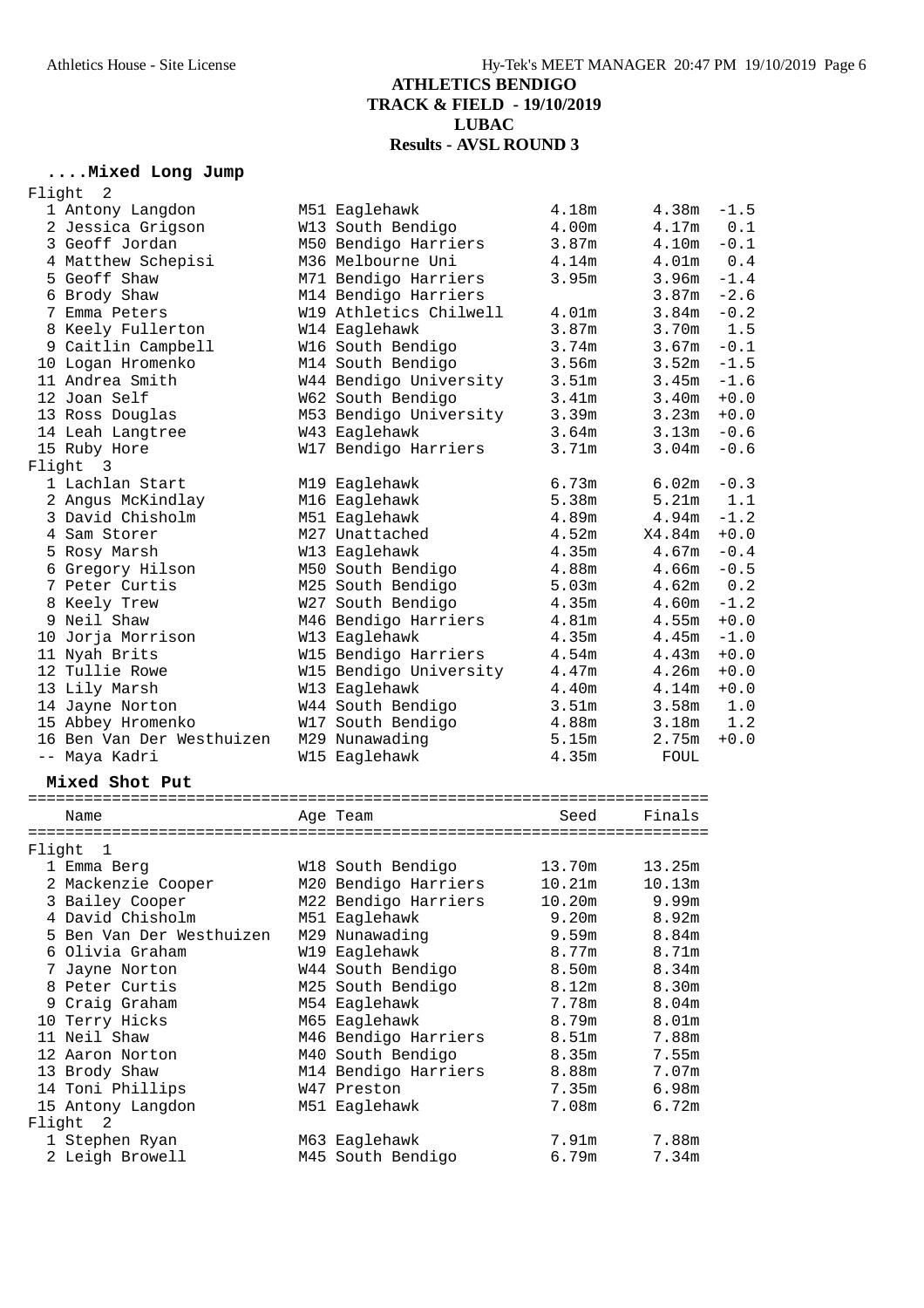### **....Mixed Long Jump**

| Flight | 2                         |                        |                   |                   |        |
|--------|---------------------------|------------------------|-------------------|-------------------|--------|
|        | 1 Antony Langdon          | M51 Eaglehawk          | 4.18m             | 4.38m             | $-1.5$ |
|        | 2 Jessica Grigson         | W13 South Bendigo      | 4.00m             | 4.17m             | 0.1    |
|        | 3 Geoff Jordan            | M50 Bendigo Harriers   | 3.87m             | 4.10m             | $-0.1$ |
|        | 4 Matthew Schepisi        | M36 Melbourne Uni      | 4.14m             | 4.01 <sub>m</sub> | 0.4    |
|        | 5 Geoff Shaw              | M71 Bendigo Harriers   | 3.95m             | 3.96 <sub>m</sub> | $-1.4$ |
|        | 6 Brody Shaw              | M14 Bendigo Harriers   |                   | 3.87 <sub>m</sub> | $-2.6$ |
|        | 7 Emma Peters             | W19 Athletics Chilwell | 4.01m             | 3.84m             | $-0.2$ |
|        | 8 Keely Fullerton         | W14 Eaglehawk          | 3.87m             | 3.70m             | 1.5    |
|        | 9 Caitlin Campbell        | W16 South Bendigo      | 3.74m             | 3.67m             | $-0.1$ |
|        | 10 Logan Hromenko         | M14 South Bendigo      | 3.56m             | 3.52m             | $-1.5$ |
|        | 11 Andrea Smith           | W44 Bendigo University | 3.51 <sub>m</sub> | 3.45m             | $-1.6$ |
|        | 12 Joan Self              | W62 South Bendigo      | 3.41m             | 3.40m             | $+0.0$ |
|        | 13 Ross Douglas           | M53 Bendigo University | 3.39m             | 3.23m             | $+0.0$ |
|        | 14 Leah Langtree          | W43 Eaglehawk          | 3.64m             | 3.13m             | $-0.6$ |
|        | 15 Ruby Hore              | W17 Bendigo Harriers   | 3.71m             | 3.04 <sub>m</sub> | $-0.6$ |
| Flight | $\overline{\phantom{a}}$  |                        |                   |                   |        |
|        | 1 Lachlan Start           | M19 Eaglehawk          | 6.73m             | 6.02m             | $-0.3$ |
|        | 2 Angus McKindlay         | M16 Eaglehawk          | 5.38m             | 5.21m             | 1.1    |
|        | 3 David Chisholm          | M51 Eaglehawk          | 4.89m             | 4.94m             | $-1.2$ |
|        | 4 Sam Storer              | M27 Unattached         | 4.52m             | X4.84m            | $+0.0$ |
|        | 5 Rosy Marsh              | W13 Eaglehawk          | 4.35m             | 4.67m             | $-0.4$ |
|        | 6 Gregory Hilson          | M50 South Bendigo      | 4.88m             | 4.66m             | $-0.5$ |
|        | 7 Peter Curtis            | M25 South Bendigo      | 5.03m             | 4.62m             | 0.2    |
|        | 8 Keely Trew              | W27 South Bendigo      | 4.35m             | 4.60m             | $-1.2$ |
|        | 9 Neil Shaw               | M46 Bendigo Harriers   | 4.81m             | 4.55m             | $+0.0$ |
|        | 10 Jorja Morrison         | W13 Eaglehawk          | 4.35m             | 4.45m             | $-1.0$ |
|        | 11 Nyah Brits             | W15 Bendigo Harriers   | 4.54m             | 4.43m             | $+0.0$ |
|        | 12 Tullie Rowe            | W15 Bendigo University | 4.47m             | 4.26m             | $+0.0$ |
|        | 13 Lily Marsh             | W13 Eaglehawk          | 4.40m             | 4.14m             | $+0.0$ |
|        | 14 Jayne Norton           | W44 South Bendigo      | 3.51m             | 3.58m             | 1.0    |
|        | 15 Abbey Hromenko         | W17 South Bendigo      | 4.88m             | 3.18m             | 1.2    |
|        | 16 Ben Van Der Westhuizen | M29 Nunawading         | 5.15m             | 2.75m             | $+0.0$ |
|        | -- Maya Kadri             | W15 Eaglehawk          | 4.35m             | FOUL              |        |
|        | Mixed Shot Put            |                        |                   |                   |        |
|        |                           |                        |                   |                   |        |
|        | Name                      | Age Team               | Seed              | Finals            |        |
|        |                           |                        |                   |                   |        |
| Flight | 1<br>1 Emma Berg          | W18 South Bendigo      | 13.70m            | 13.25m            |        |
|        | 2 Mackenzie Cooper        | M20 Bendigo Harriers   | 10.21m            | 10.13m            |        |
|        | 3 Bailey Cooper           | M22 Bendigo Harriers   | 10.20m            | 9.99m             |        |
|        | 4 David Chisholm          | M51 Eaglehawk          | 9.20m             | 8.92m             |        |
|        | 5 Ben Van Der Westhuizen  | M29 Nunawading         | 9.59m             | 8.84m             |        |
|        | 6 Olivia Graham           |                        | 8.77m             | 8.71m             |        |
|        |                           | W19 Eaglehawk          |                   | 8.34m             |        |
|        | 7 Jayne Norton            | W44 South Bendigo      | 8.50m             |                   |        |
|        | 8 Peter Curtis            | M25 South Bendigo      | 8.12m<br>7.78m    | 8.30m             |        |
|        | 9 Craig Graham            | M54 Eaglehawk          | 8.79m             | 8.04m             |        |
|        | 10 Terry Hicks            | M65 Eaglehawk          |                   | 8.01m             |        |
|        | 11 Neil Shaw              | M46 Bendigo Harriers   | 8.51m             | 7.88m             |        |
|        | 12 Aaron Norton           | M40 South Bendigo      | 8.35m             | 7.55m             |        |
|        | 13 Brody Shaw             | M14 Bendigo Harriers   | 8.88m             | 7.07m             |        |
|        | 14 Toni Phillips          | W47 Preston            | 7.35m             | 6.98m             |        |
| Flight | 15 Antony Langdon<br>2    | M51 Eaglehawk          | 7.08m             | 6.72m             |        |
|        |                           |                        |                   |                   |        |

 1 Stephen Ryan M63 Eaglehawk 7.91m 7.88m 2 Leigh Browell M45 South Bendigo 6.79m 7.34m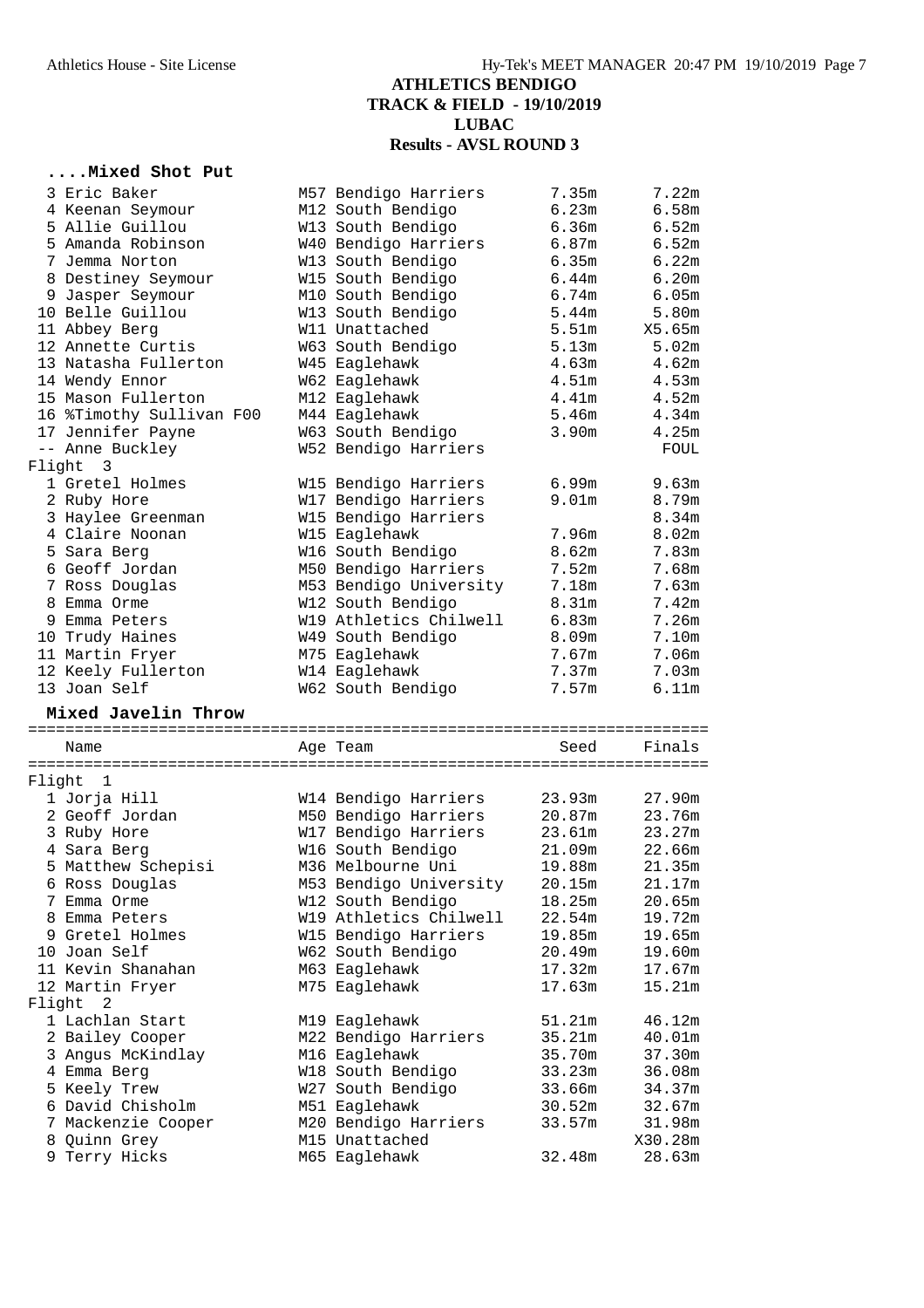### **....Mixed Shot Put**

|        | 3 Eric Baker<br>4 Keenan Seymour<br>5 Allie Guillou<br>5 Amanda Robinson<br>7 Jemma Norton<br>8 Destiney Seymour<br>9 Jasper Seymour<br>10 Belle Guillou<br>11 Abbey Berg<br>12 Annette Curtis<br>13 Natasha Fullerton<br>14 Wendy Ennor<br>15 Mason Fullerton<br>16 %Timothy Sullivan F00 | M57 Bendigo Harriers<br>M12 South Bendigo<br>W13 South Bendigo<br>W40 Bendigo Harriers<br>W13 South Bendigo<br>W15 South Bendigo<br>M10 South Bendigo<br>W13 South Bendigo<br>W11 Unattached<br>W63 South Bendigo<br>W45 Eaglehawk<br>W62 Eaglehawk<br>M12 Eaglehawk<br>M44 Eaglehawk | 7.35m<br>6.23m<br>6.36m<br>6.87m<br>6.35m<br>6.44m<br>6.74m<br>5.44m<br>5.51m<br>5.13m<br>4.63m<br>4.51m<br>4.41m<br>5.46m | 7.22m<br>6.58m<br>6.52m<br>6.52m<br>6.22m<br>6.20m<br>6.05m<br>5.80m<br>X5.65m<br>5.02m<br>4.62m<br>4.53m<br>4.52m<br>4.34m |
|--------|--------------------------------------------------------------------------------------------------------------------------------------------------------------------------------------------------------------------------------------------------------------------------------------------|---------------------------------------------------------------------------------------------------------------------------------------------------------------------------------------------------------------------------------------------------------------------------------------|----------------------------------------------------------------------------------------------------------------------------|-----------------------------------------------------------------------------------------------------------------------------|
|        | 17 Jennifer Payne                                                                                                                                                                                                                                                                          | W63 South Bendigo                                                                                                                                                                                                                                                                     | 3.90m                                                                                                                      | 4.25m                                                                                                                       |
| Flight | -- Anne Buckley<br>$\overline{\mathbf{3}}$                                                                                                                                                                                                                                                 | W52 Bendigo Harriers                                                                                                                                                                                                                                                                  |                                                                                                                            | FOUL                                                                                                                        |
|        | 1 Gretel Holmes<br>2 Ruby Hore<br>3 Haylee Greenman<br>4 Claire Noonan                                                                                                                                                                                                                     | W15 Bendigo Harriers<br>W17 Bendigo Harriers<br>W15 Bendigo Harriers<br>W15 Eaglehawk                                                                                                                                                                                                 | 6.99m<br>9.01 <sub>m</sub><br>7.96m                                                                                        | 9.63m<br>8.79m<br>8.34m<br>8.02m                                                                                            |
|        | 5 Sara Berg<br>6 Geoff Jordan<br>7 Ross Douglas                                                                                                                                                                                                                                            | W16 South Bendigo<br>M50 Bendigo Harriers<br>M53 Bendigo University                                                                                                                                                                                                                   | 8.62m<br>7.52m<br>7.18m                                                                                                    | 7.83m<br>7.68m<br>7.63m                                                                                                     |
|        | 8 Emma Orme<br>9 Emma Peters<br>10 Trudy Haines                                                                                                                                                                                                                                            | W12 South Bendigo<br>W19 Athletics Chilwell<br>W49 South Bendigo                                                                                                                                                                                                                      | 8.31m<br>6.83m<br>8.09m                                                                                                    | 7.42m<br>7.26m<br>7.10m                                                                                                     |
|        | 11 Martin Fryer<br>12 Keely Fullerton<br>13 Joan Self                                                                                                                                                                                                                                      | M75 Eaglehawk<br>W14 Eaglehawk<br>W62 South Bendigo                                                                                                                                                                                                                                   | 7.67m<br>7.37m<br>7.57m                                                                                                    | 7.06m<br>7.03m<br>6.11m                                                                                                     |
|        | Mixed Javelin Throw                                                                                                                                                                                                                                                                        |                                                                                                                                                                                                                                                                                       |                                                                                                                            |                                                                                                                             |
|        | Name                                                                                                                                                                                                                                                                                       | Age Team                                                                                                                                                                                                                                                                              | Seed                                                                                                                       | Finals                                                                                                                      |
| Flight | 1                                                                                                                                                                                                                                                                                          |                                                                                                                                                                                                                                                                                       |                                                                                                                            |                                                                                                                             |
|        | 1 Jorja Hill<br>2 Geoff Jordan<br>3 Ruby Hore                                                                                                                                                                                                                                              | W14 Bendigo Harriers<br>M50 Bendigo Harriers<br>W17 Bendigo Harriers                                                                                                                                                                                                                  | 23.93m<br>20.87m<br>23.61m                                                                                                 | 27.90m<br>23.76m<br>23.27m                                                                                                  |
|        | 4 Sara Berg<br>5 Matthew Schepisi                                                                                                                                                                                                                                                          | W16 South Bendigo<br>M36 Melbourne Uni                                                                                                                                                                                                                                                | 21.09m<br>19.88m                                                                                                           | 22.66m<br>21.35m                                                                                                            |
|        | 6 Ross Douglas<br>7 Emma Orme<br>8 Emma Peters<br>9 Gretel Holmes                                                                                                                                                                                                                          | M53 Bendigo University<br>W12 South Bendigo<br>W19 Athletics Chilwell<br>W15 Bendigo Harriers                                                                                                                                                                                         | 20.15m<br>18.25m<br>22.54m<br>19.85m                                                                                       | 21.17m<br>20.65m<br>19.72m<br>19.65m                                                                                        |
|        | 10 Joan Self<br>11 Kevin Shanahan<br>12 Martin Fryer                                                                                                                                                                                                                                       | W62 South Bendigo<br>M63 Eaglehawk<br>M75 Eaglehawk                                                                                                                                                                                                                                   | 20.49m<br>17.32m<br>17.63m                                                                                                 | 19.60m<br>17.67m<br>15.21m                                                                                                  |
| Flight | 2<br>1 Lachlan Start                                                                                                                                                                                                                                                                       | M19 Eaglehawk                                                                                                                                                                                                                                                                         | 51.21m                                                                                                                     | 46.12m                                                                                                                      |
|        | 2 Bailey Cooper<br>3 Angus McKindlay                                                                                                                                                                                                                                                       | M22 Bendigo Harriers<br>M16 Eaglehawk                                                                                                                                                                                                                                                 | 35.21m<br>35.70m                                                                                                           | 40.01m<br>37.30m                                                                                                            |
|        | 4 Emma Berg<br>5 Keely Trew<br>6 David Chisholm                                                                                                                                                                                                                                            | W18 South Bendigo<br>W27 South Bendigo<br>M51 Eaglehawk                                                                                                                                                                                                                               | 33.23m<br>33.66m<br>30.52m                                                                                                 | 36.08m<br>34.37m<br>32.67m                                                                                                  |
|        | 7 Mackenzie Cooper<br>8 Quinn Grey<br>9 Terry Hicks                                                                                                                                                                                                                                        | M20 Bendigo Harriers<br>M15 Unattached<br>M65 Eaglehawk                                                                                                                                                                                                                               | 33.57m<br>32.48m                                                                                                           | 31.98m<br>X30.28m<br>28.63m                                                                                                 |